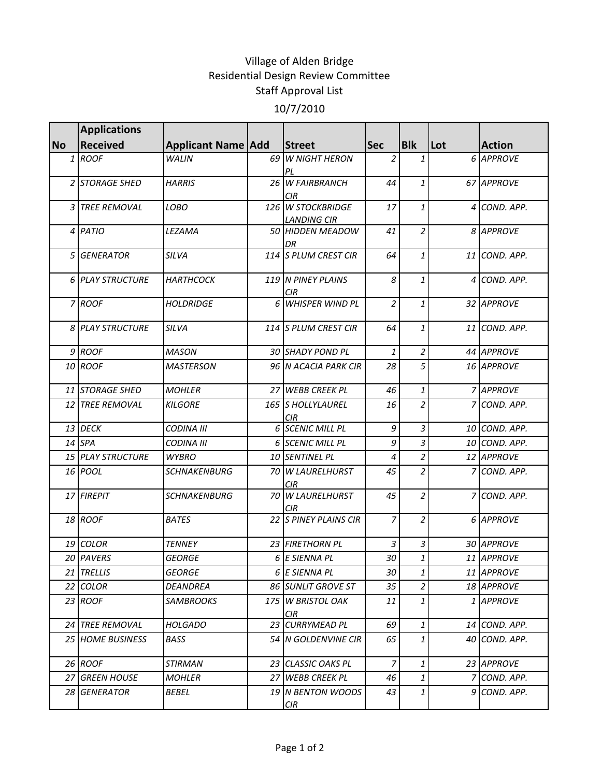## Village of Alden Bridge Residential Design Review Committee Staff Approval List 10/7/2010

|           | <b>Applications</b>      |                           |                                         |                |                |     |               |
|-----------|--------------------------|---------------------------|-----------------------------------------|----------------|----------------|-----|---------------|
| <b>No</b> | <b>Received</b>          | <b>Applicant Name Add</b> | Street                                  | <b>Sec</b>     | <b>Blk</b>     | Lot | <b>Action</b> |
|           | $1$ ROOF                 | <b>WALIN</b>              | 69 W NIGHT HERON<br>PL                  | 2              | 1              |     | 6 APPROVE     |
|           | 2 STORAGE SHED           | <b>HARRIS</b>             | 26 W FAIRBRANCH<br>CIR.                 | 44             | $\mathbf{1}$   |     | 67 APPROVE    |
|           | 3 TREE REMOVAL           | LOBO                      | 126 W STOCKBRIDGE<br><b>LANDING CIR</b> | 17             | $\mathbf{1}$   |     | 4 COND. APP.  |
|           | 4 PATIO                  | LEZAMA                    | 50 HIDDEN MEADOW<br>DR                  | 41             | $\overline{a}$ |     | 8 APPROVE     |
|           | 5 GENERATOR              | SILVA                     | 114 S PLUM CREST CIR                    | 64             | 1              |     | 11 COND. APP. |
|           | <b>6 PLAY STRUCTURE</b>  | <b>HARTHCOCK</b>          | 119 N PINEY PLAINS<br>CIR               | 8              | 1              |     | 4 COND. APP.  |
|           | 7 ROOF                   | <b>HOLDRIDGE</b>          | 6 WHISPER WIND PL                       | 2              | 1              |     | 32 APPROVE    |
|           | <b>8 PLAY STRUCTURE</b>  | SILVA                     | 114 S PLUM CREST CIR                    | 64             | 1              |     | 11 COND. APP. |
|           | $9$ ROOF                 | <b>MASON</b>              | 30 SHADY POND PL                        | 1              | $\overline{a}$ |     | 44 APPROVE    |
|           | 10 ROOF                  | <b>MASTERSON</b>          | 96 N ACACIA PARK CIR                    | 28             | 5              |     | 16 APPROVE    |
|           | 11 STORAGE SHED          | <b>MOHLER</b>             | 27 WEBB CREEK PL                        | 46             | $\mathbf{1}$   |     | 7 APPROVE     |
|           | 12 TREE REMOVAL          | <b>KILGORE</b>            | 165 S HOLLYLAUREL<br>CIR.               | 16             | $\overline{a}$ |     | 7 COND. APP.  |
|           | 13 DECK                  | <b>CODINA III</b>         | 6 SCENIC MILL PL                        | 9              | 3              |     | 10 COND. APP. |
|           | $14$ SPA                 | <b>CODINA III</b>         | 6 SCENIC MILL PL                        | 9              | 3              |     | 10 COND. APP. |
|           | <b>15 PLAY STRUCTURE</b> | <b>WYBRO</b>              | 10 SENTINEL PL                          | 4              | 2              |     | 12 APPROVE    |
|           | 16 <i>POOL</i>           | <b>SCHNAKENBURG</b>       | 70 W LAURELHURST<br>CIR.                | 45             | $\overline{c}$ |     | 7 COND. APP.  |
|           | 17 FIREPIT               | <b>SCHNAKENBURG</b>       | 70 W LAURELHURST<br>CIR.                | 45             | $\overline{2}$ |     | 7 COND. APP.  |
|           | 18 ROOF                  | <b>BATES</b>              | 22 S PINEY PLAINS CIR                   | $\overline{7}$ | $\overline{2}$ |     | 6 APPROVE     |
|           | 19 COLOR                 | <b>TENNEY</b>             | 23 FIRETHORN PL                         | 3              | 3              |     | 30 APPROVE    |
|           | 20 PAVERS                | <b>GEORGE</b>             | 6 E SIENNA PL                           | 30             | $\mathbf{1}$   |     | 11 APPROVE    |
|           | 21 TRELLIS               | <b>GEORGE</b>             | 6 E SIENNA PL                           | 30             | 1              |     | 11 APPROVE    |
|           | 22 COLOR                 | <b>DEANDREA</b>           | 86 SUNLIT GROVE ST                      | 35             | 2              |     | 18 APPROVE    |
|           | 23 ROOF                  | <b>SAMBROOKS</b>          | 175 W BRISTOL OAK<br>CIR                | 11             | 1              |     | 1 APPROVE     |
|           | 24 TREE REMOVAL          | <b>HOLGADO</b>            | 23 CURRYMEAD PL                         | 69             | $\mathbf{1}$   |     | 14 COND. APP. |
|           | 25 HOME BUSINESS         | BASS                      | 54 N GOLDENVINE CIR                     | 65             | $\mathbf{1}$   |     | 40 COND. APP. |
|           | 26 ROOF                  | <b>STIRMAN</b>            | 23 CLASSIC OAKS PL                      | $\overline{7}$ | 1              |     | 23 APPROVE    |
|           | 27 GREEN HOUSE           | <b>MOHLER</b>             | 27 WEBB CREEK PL                        | 46             | 1              |     | 7 COND. APP.  |
|           | 28 GENERATOR             | BEBEL                     | 19 N BENTON WOODS<br>CIR                | 43             | 1              |     | 9 COND. APP.  |